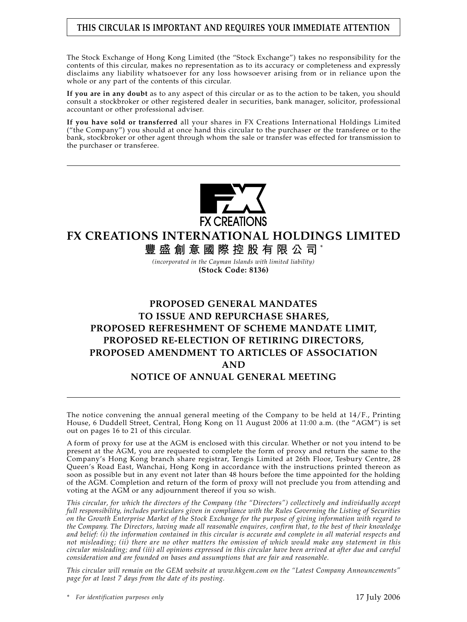# **THIS CIRCULAR IS IMPORTANT AND REQUIRES YOUR IMMEDIATE ATTENTION**

The Stock Exchange of Hong Kong Limited (the "Stock Exchange") takes no responsibility for the contents of this circular, makes no representation as to its accuracy or completeness and expressly disclaims any liability whatsoever for any loss howsoever arising from or in reliance upon the whole or any part of the contents of this circular.

**If you are in any doubt** as to any aspect of this circular or as to the action to be taken, you should consult a stockbroker or other registered dealer in securities, bank manager, solicitor, professional accountant or other professional adviser.

**If you have sold or transferred** all your shares in FX Creations International Holdings Limited ("the Company") you should at once hand this circular to the purchaser or the transferee or to the bank, stockbroker or other agent through whom the sale or transfer was effected for transmission to the purchaser or transferee.



# **FX CREATIONS INTERNATIONAL HOLDINGS LIMITED**

**豐盛創意國際控股有限公司** \*

*(incorporated in the Cayman Islands with limited liability)* **(Stock Code: 8136)**

# **PROPOSED GENERAL MANDATES TO ISSUE AND REPURCHASE SHARES, PROPOSED REFRESHMENT OF SCHEME MANDATE LIMIT, PROPOSED RE-ELECTION OF RETIRING DIRECTORS, PROPOSED AMENDMENT TO ARTICLES OF ASSOCIATION AND NOTICE OF ANNUAL GENERAL MEETING**

The notice convening the annual general meeting of the Company to be held at 14/F., Printing House, 6 Duddell Street, Central, Hong Kong on 11 August 2006 at 11:00 a.m. (the "AGM") is set out on pages 16 to 21 of this circular.

A form of proxy for use at the AGM is enclosed with this circular. Whether or not you intend to be present at the AGM, you are requested to complete the form of proxy and return the same to the Company's Hong Kong branch share registrar, Tengis Limited at 26th Floor, Tesbury Centre, 28 Queen's Road East, Wanchai, Hong Kong in accordance with the instructions printed thereon as soon as possible but in any event not later than 48 hours before the time appointed for the holding of the AGM. Completion and return of the form of proxy will not preclude you from attending and voting at the  $AG\dot{M}$  or any adjournment thereof if you so wish.

*This circular, for which the directors of the Company (the "Directors") collectively and individually accept full responsibility, includes particulars given in compliance with the Rules Governing the Listing of Securities on the Growth Enterprise Market of the Stock Exchange for the purpose of giving information with regard to the Company. The Directors, having made all reasonable enquires, confirm that, to the best of their knowledge and belief: (i) the information contained in this circular is accurate and complete in all material respects and not misleading; (ii) there are no other matters the omission of which would make any statement in this circular misleading; and (iii) all opinions expressed in this circular have been arrived at after due and careful consideration and are founded on bases and assumptions that are fair and reasonable.*

*This circular will remain on the GEM website at www.hkgem.com on the "Latest Company Announcements" page for at least 7 days from the date of its posting.*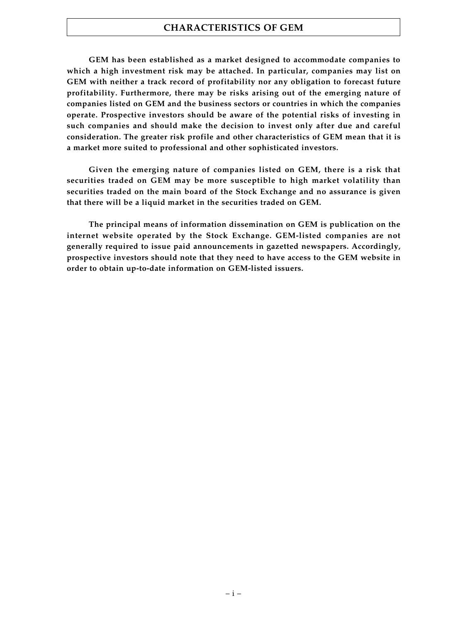## **CHARACTERISTICS OF GEM**

**GEM has been established as a market designed to accommodate companies to which a high investment risk may be attached. In particular, companies may list on GEM with neither a track record of profitability nor any obligation to forecast future profitability. Furthermore, there may be risks arising out of the emerging nature of companies listed on GEM and the business sectors or countries in which the companies operate. Prospective investors should be aware of the potential risks of investing in such companies and should make the decision to invest only after due and careful consideration. The greater risk profile and other characteristics of GEM mean that it is a market more suited to professional and other sophisticated investors.**

**Given the emerging nature of companies listed on GEM, there is a risk that securities traded on GEM may be more susceptible to high market volatility than securities traded on the main board of the Stock Exchange and no assurance is given that there will be a liquid market in the securities traded on GEM.**

**The principal means of information dissemination on GEM is publication on the internet website operated by the Stock Exchange. GEM-listed companies are not generally required to issue paid announcements in gazetted newspapers. Accordingly, prospective investors should note that they need to have access to the GEM website in order to obtain up-to-date information on GEM-listed issuers.**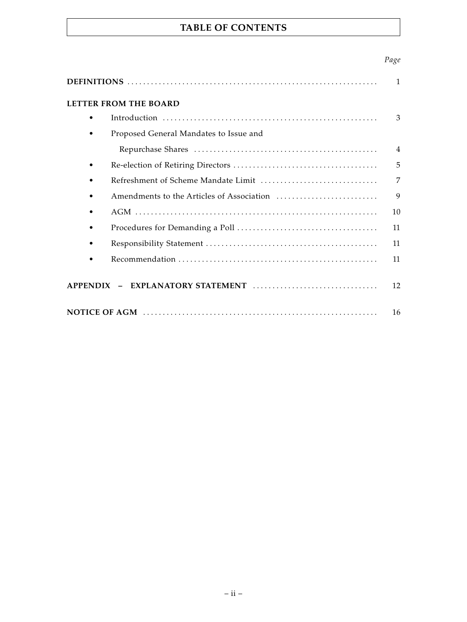# **TABLE OF CONTENTS**

|--|

|                                        |                                        | 1  |  |
|----------------------------------------|----------------------------------------|----|--|
|                                        | <b>LETTER FROM THE BOARD</b>           |    |  |
|                                        |                                        | 3  |  |
|                                        | Proposed General Mandates to Issue and |    |  |
|                                        |                                        | 4  |  |
|                                        |                                        | 5  |  |
|                                        |                                        | 7  |  |
|                                        |                                        | 9  |  |
|                                        |                                        | 10 |  |
|                                        |                                        | 11 |  |
|                                        |                                        | 11 |  |
|                                        |                                        | 11 |  |
| APPENDIX - EXPLANATORY STATEMENT<br>12 |                                        |    |  |
|                                        |                                        | 16 |  |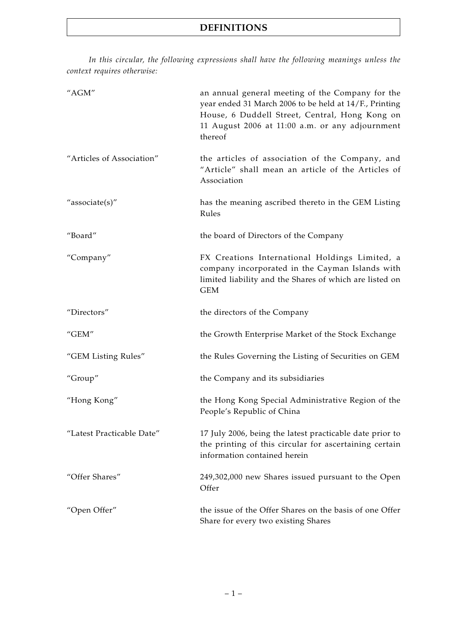*In this circular, the following expressions shall have the following meanings unless the context requires otherwise:*

| "AGM"                     | an annual general meeting of the Company for the<br>year ended 31 March 2006 to be held at 14/F., Printing<br>House, 6 Duddell Street, Central, Hong Kong on<br>11 August 2006 at 11:00 a.m. or any adjournment<br>thereof |
|---------------------------|----------------------------------------------------------------------------------------------------------------------------------------------------------------------------------------------------------------------------|
| "Articles of Association" | the articles of association of the Company, and<br>"Article" shall mean an article of the Articles of<br>Association                                                                                                       |
| "associate(s)"            | has the meaning ascribed thereto in the GEM Listing<br>Rules                                                                                                                                                               |
| "Board"                   | the board of Directors of the Company                                                                                                                                                                                      |
| "Company"                 | FX Creations International Holdings Limited, a<br>company incorporated in the Cayman Islands with<br>limited liability and the Shares of which are listed on<br><b>GEM</b>                                                 |
| "Directors"               | the directors of the Company                                                                                                                                                                                               |
| "GEM"                     | the Growth Enterprise Market of the Stock Exchange                                                                                                                                                                         |
| "GEM Listing Rules"       | the Rules Governing the Listing of Securities on GEM                                                                                                                                                                       |
| "Group"                   | the Company and its subsidiaries                                                                                                                                                                                           |
| "Hong Kong"               | the Hong Kong Special Administrative Region of the<br>People's Republic of China                                                                                                                                           |
| "Latest Practicable Date" | 17 July 2006, being the latest practicable date prior to<br>the printing of this circular for ascertaining certain<br>information contained herein                                                                         |
| "Offer Shares"            | 249,302,000 new Shares issued pursuant to the Open<br>Offer                                                                                                                                                                |
| "Open Offer"              | the issue of the Offer Shares on the basis of one Offer<br>Share for every two existing Shares                                                                                                                             |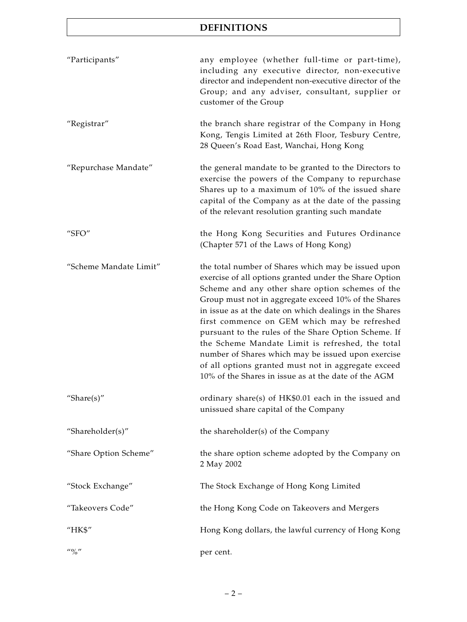# **DEFINITIONS**

| "Participants"                        | any employee (whether full-time or part-time),<br>including any executive director, non-executive<br>director and independent non-executive director of the<br>Group; and any adviser, consultant, supplier or<br>customer of the Group                                                                                                                                                                                                                                                                                                                                                                               |
|---------------------------------------|-----------------------------------------------------------------------------------------------------------------------------------------------------------------------------------------------------------------------------------------------------------------------------------------------------------------------------------------------------------------------------------------------------------------------------------------------------------------------------------------------------------------------------------------------------------------------------------------------------------------------|
| "Registrar"                           | the branch share registrar of the Company in Hong<br>Kong, Tengis Limited at 26th Floor, Tesbury Centre,<br>28 Queen's Road East, Wanchai, Hong Kong                                                                                                                                                                                                                                                                                                                                                                                                                                                                  |
| "Repurchase Mandate"                  | the general mandate to be granted to the Directors to<br>exercise the powers of the Company to repurchase<br>Shares up to a maximum of 10% of the issued share<br>capital of the Company as at the date of the passing<br>of the relevant resolution granting such mandate                                                                                                                                                                                                                                                                                                                                            |
| " $SFO"$                              | the Hong Kong Securities and Futures Ordinance<br>(Chapter 571 of the Laws of Hong Kong)                                                                                                                                                                                                                                                                                                                                                                                                                                                                                                                              |
| "Scheme Mandate Limit"                | the total number of Shares which may be issued upon<br>exercise of all options granted under the Share Option<br>Scheme and any other share option schemes of the<br>Group must not in aggregate exceed 10% of the Shares<br>in issue as at the date on which dealings in the Shares<br>first commence on GEM which may be refreshed<br>pursuant to the rules of the Share Option Scheme. If<br>the Scheme Mandate Limit is refreshed, the total<br>number of Shares which may be issued upon exercise<br>of all options granted must not in aggregate exceed<br>10% of the Shares in issue as at the date of the AGM |
| "Share $(s)$ "                        | ordinary share(s) of HK\$0.01 each in the issued and<br>unissued share capital of the Company                                                                                                                                                                                                                                                                                                                                                                                                                                                                                                                         |
| "Shareholder(s)"                      | the shareholder(s) of the Company                                                                                                                                                                                                                                                                                                                                                                                                                                                                                                                                                                                     |
| "Share Option Scheme"                 | the share option scheme adopted by the Company on<br>2 May 2002                                                                                                                                                                                                                                                                                                                                                                                                                                                                                                                                                       |
| "Stock Exchange"                      | The Stock Exchange of Hong Kong Limited                                                                                                                                                                                                                                                                                                                                                                                                                                                                                                                                                                               |
| "Takeovers Code"                      | the Hong Kong Code on Takeovers and Mergers                                                                                                                                                                                                                                                                                                                                                                                                                                                                                                                                                                           |
| "HK\$"                                | Hong Kong dollars, the lawful currency of Hong Kong                                                                                                                                                                                                                                                                                                                                                                                                                                                                                                                                                                   |
| $^{\prime\prime}$ % $^{\prime\prime}$ | per cent.                                                                                                                                                                                                                                                                                                                                                                                                                                                                                                                                                                                                             |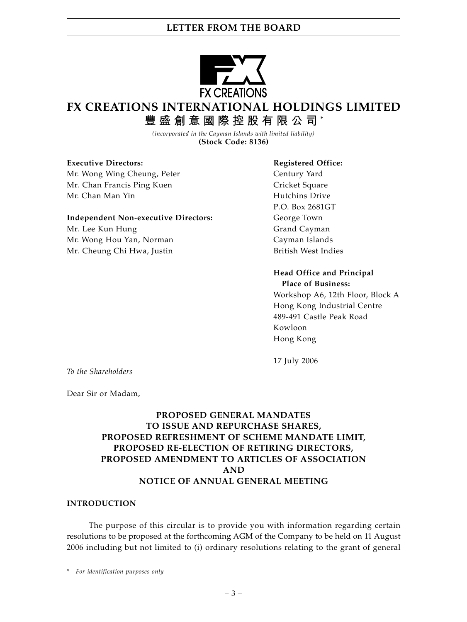

# **FX CREATIONS INTERNATIONAL HOLDINGS LIMITED**

**豐盛創意國際控股有限公司** \*

*(incorporated in the Cayman Islands with limited liability)* **(Stock Code: 8136)**

#### **Executive Directors:** The Contractor Registered Office:

Mr. Wong Wing Cheung, Peter Century Yard Mr. Chan Francis Ping Kuen Cricket Square Mr. Chan Man Yin **Hutchins Drive Hutchins Drive** 

#### **Independent Non-executive Directors:** George Town

Mr. Lee Kun Hung Grand Cayman Mr. Wong Hou Yan, Norman Cayman Islands Mr. Cheung Chi Hwa, Justin British West Indies

P.O. Box 2681GT

# **Head Office and Principal**

**Place of Business:** Workshop A6, 12th Floor, Block A Hong Kong Industrial Centre 489-491 Castle Peak Road Kowloon Hong Kong

17 July 2006

*To the Shareholders*

Dear Sir or Madam,

# **PROPOSED GENERAL MANDATES TO ISSUE AND REPURCHASE SHARES, PROPOSED REFRESHMENT OF SCHEME MANDATE LIMIT, PROPOSED RE-ELECTION OF RETIRING DIRECTORS, PROPOSED AMENDMENT TO ARTICLES OF ASSOCIATION AND NOTICE OF ANNUAL GENERAL MEETING**

#### **INTRODUCTION**

The purpose of this circular is to provide you with information regarding certain resolutions to be proposed at the forthcoming AGM of the Company to be held on 11 August 2006 including but not limited to (i) ordinary resolutions relating to the grant of general

*\* For identification purposes only*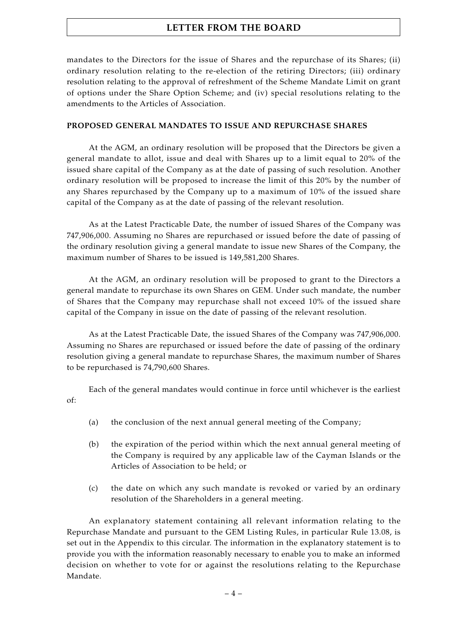mandates to the Directors for the issue of Shares and the repurchase of its Shares; (ii) ordinary resolution relating to the re-election of the retiring Directors; (iii) ordinary resolution relating to the approval of refreshment of the Scheme Mandate Limit on grant of options under the Share Option Scheme; and (iv) special resolutions relating to the amendments to the Articles of Association.

#### **PROPOSED GENERAL MANDATES TO ISSUE AND REPURCHASE SHARES**

At the AGM, an ordinary resolution will be proposed that the Directors be given a general mandate to allot, issue and deal with Shares up to a limit equal to 20% of the issued share capital of the Company as at the date of passing of such resolution. Another ordinary resolution will be proposed to increase the limit of this 20% by the number of any Shares repurchased by the Company up to a maximum of 10% of the issued share capital of the Company as at the date of passing of the relevant resolution.

As at the Latest Practicable Date, the number of issued Shares of the Company was 747,906,000. Assuming no Shares are repurchased or issued before the date of passing of the ordinary resolution giving a general mandate to issue new Shares of the Company, the maximum number of Shares to be issued is 149,581,200 Shares.

At the AGM, an ordinary resolution will be proposed to grant to the Directors a general mandate to repurchase its own Shares on GEM. Under such mandate, the number of Shares that the Company may repurchase shall not exceed 10% of the issued share capital of the Company in issue on the date of passing of the relevant resolution.

As at the Latest Practicable Date, the issued Shares of the Company was 747,906,000. Assuming no Shares are repurchased or issued before the date of passing of the ordinary resolution giving a general mandate to repurchase Shares, the maximum number of Shares to be repurchased is 74,790,600 Shares.

Each of the general mandates would continue in force until whichever is the earliest of:

- (a) the conclusion of the next annual general meeting of the Company;
- (b) the expiration of the period within which the next annual general meeting of the Company is required by any applicable law of the Cayman Islands or the Articles of Association to be held; or
- (c) the date on which any such mandate is revoked or varied by an ordinary resolution of the Shareholders in a general meeting.

An explanatory statement containing all relevant information relating to the Repurchase Mandate and pursuant to the GEM Listing Rules, in particular Rule 13.08, is set out in the Appendix to this circular. The information in the explanatory statement is to provide you with the information reasonably necessary to enable you to make an informed decision on whether to vote for or against the resolutions relating to the Repurchase Mandate.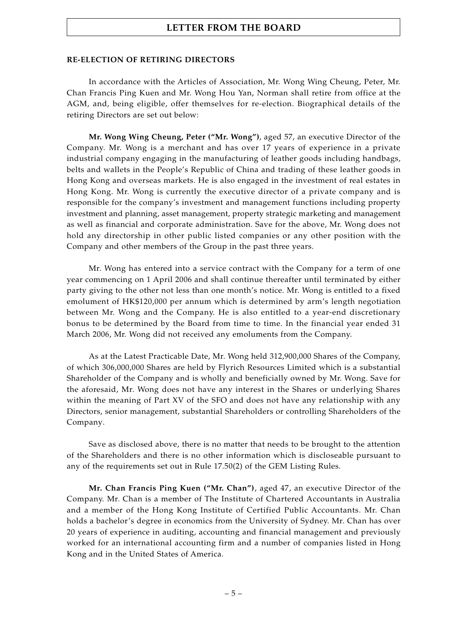#### **RE-ELECTION OF RETIRING DIRECTORS**

In accordance with the Articles of Association, Mr. Wong Wing Cheung, Peter, Mr. Chan Francis Ping Kuen and Mr. Wong Hou Yan, Norman shall retire from office at the AGM, and, being eligible, offer themselves for re-election. Biographical details of the retiring Directors are set out below:

**Mr. Wong Wing Cheung, Peter ("Mr. Wong")**, aged 57, an executive Director of the Company. Mr. Wong is a merchant and has over 17 years of experience in a private industrial company engaging in the manufacturing of leather goods including handbags, belts and wallets in the People's Republic of China and trading of these leather goods in Hong Kong and overseas markets. He is also engaged in the investment of real estates in Hong Kong. Mr. Wong is currently the executive director of a private company and is responsible for the company's investment and management functions including property investment and planning, asset management, property strategic marketing and management as well as financial and corporate administration. Save for the above, Mr. Wong does not hold any directorship in other public listed companies or any other position with the Company and other members of the Group in the past three years.

Mr. Wong has entered into a service contract with the Company for a term of one year commencing on 1 April 2006 and shall continue thereafter until terminated by either party giving to the other not less than one month's notice. Mr. Wong is entitled to a fixed emolument of HK\$120,000 per annum which is determined by arm's length negotiation between Mr. Wong and the Company. He is also entitled to a year-end discretionary bonus to be determined by the Board from time to time. In the financial year ended 31 March 2006, Mr. Wong did not received any emoluments from the Company.

As at the Latest Practicable Date, Mr. Wong held 312,900,000 Shares of the Company, of which 306,000,000 Shares are held by Flyrich Resources Limited which is a substantial Shareholder of the Company and is wholly and beneficially owned by Mr. Wong. Save for the aforesaid, Mr. Wong does not have any interest in the Shares or underlying Shares within the meaning of Part XV of the SFO and does not have any relationship with any Directors, senior management, substantial Shareholders or controlling Shareholders of the Company.

Save as disclosed above, there is no matter that needs to be brought to the attention of the Shareholders and there is no other information which is discloseable pursuant to any of the requirements set out in Rule 17.50(2) of the GEM Listing Rules.

**Mr. Chan Francis Ping Kuen ("Mr. Chan")**, aged 47, an executive Director of the Company. Mr. Chan is a member of The Institute of Chartered Accountants in Australia and a member of the Hong Kong Institute of Certified Public Accountants. Mr. Chan holds a bachelor's degree in economics from the University of Sydney. Mr. Chan has over 20 years of experience in auditing, accounting and financial management and previously worked for an international accounting firm and a number of companies listed in Hong Kong and in the United States of America.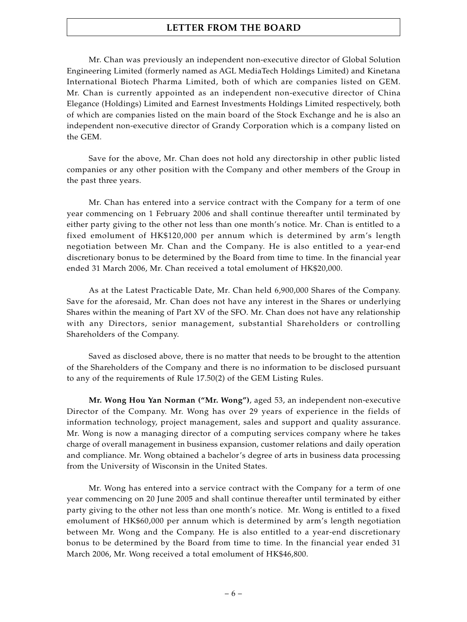Mr. Chan was previously an independent non-executive director of Global Solution Engineering Limited (formerly named as AGL MediaTech Holdings Limited) and Kinetana International Biotech Pharma Limited, both of which are companies listed on GEM. Mr. Chan is currently appointed as an independent non-executive director of China Elegance (Holdings) Limited and Earnest Investments Holdings Limited respectively, both of which are companies listed on the main board of the Stock Exchange and he is also an independent non-executive director of Grandy Corporation which is a company listed on the GEM.

Save for the above, Mr. Chan does not hold any directorship in other public listed companies or any other position with the Company and other members of the Group in the past three years.

Mr. Chan has entered into a service contract with the Company for a term of one year commencing on 1 February 2006 and shall continue thereafter until terminated by either party giving to the other not less than one month's notice. Mr. Chan is entitled to a fixed emolument of HK\$120,000 per annum which is determined by arm's length negotiation between Mr. Chan and the Company. He is also entitled to a year-end discretionary bonus to be determined by the Board from time to time. In the financial year ended 31 March 2006, Mr. Chan received a total emolument of HK\$20,000.

As at the Latest Practicable Date, Mr. Chan held 6,900,000 Shares of the Company. Save for the aforesaid, Mr. Chan does not have any interest in the Shares or underlying Shares within the meaning of Part XV of the SFO. Mr. Chan does not have any relationship with any Directors, senior management, substantial Shareholders or controlling Shareholders of the Company.

Saved as disclosed above, there is no matter that needs to be brought to the attention of the Shareholders of the Company and there is no information to be disclosed pursuant to any of the requirements of Rule 17.50(2) of the GEM Listing Rules.

**Mr. Wong Hou Yan Norman ("Mr. Wong")**, aged 53, an independent non-executive Director of the Company. Mr. Wong has over 29 years of experience in the fields of information technology, project management, sales and support and quality assurance. Mr. Wong is now a managing director of a computing services company where he takes charge of overall management in business expansion, customer relations and daily operation and compliance. Mr. Wong obtained a bachelor's degree of arts in business data processing from the University of Wisconsin in the United States.

Mr. Wong has entered into a service contract with the Company for a term of one year commencing on 20 June 2005 and shall continue thereafter until terminated by either party giving to the other not less than one month's notice. Mr. Wong is entitled to a fixed emolument of HK\$60,000 per annum which is determined by arm's length negotiation between Mr. Wong and the Company. He is also entitled to a year-end discretionary bonus to be determined by the Board from time to time. In the financial year ended 31 March 2006, Mr. Wong received a total emolument of HK\$46,800.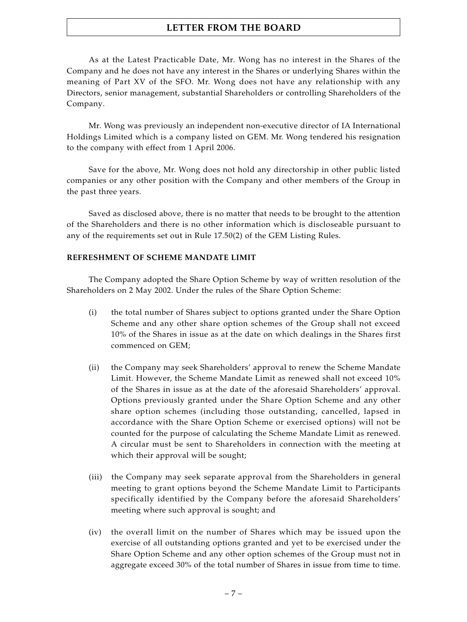As at the Latest Practicable Date, Mr. Wong has no interest in the Shares of the Company and he does not have any interest in the Shares or underlying Shares within the meaning of Part XV of the SFO. Mr. Wong does not have any relationship with any Directors, senior management, substantial Shareholders or controlling Shareholders of the Company.

Mr. Wong was previously an independent non-executive director of IA International Holdings Limited which is a company listed on GEM. Mr. Wong tendered his resignation to the company with effect from 1 April 2006.

Save for the above, Mr. Wong does not hold any directorship in other public listed companies or any other position with the Company and other members of the Group in the past three years.

Saved as disclosed above, there is no matter that needs to be brought to the attention of the Shareholders and there is no other information which is discloseable pursuant to any of the requirements set out in Rule 17.50(2) of the GEM Listing Rules.

#### **REFRESHMENT OF SCHEME MANDATE LIMIT**

The Company adopted the Share Option Scheme by way of written resolution of the Shareholders on 2 May 2002. Under the rules of the Share Option Scheme:

- (i) the total number of Shares subject to options granted under the Share Option Scheme and any other share option schemes of the Group shall not exceed 10% of the Shares in issue as at the date on which dealings in the Shares first commenced on GEM;
- (ii) the Company may seek Shareholders' approval to renew the Scheme Mandate Limit. However, the Scheme Mandate Limit as renewed shall not exceed 10% of the Shares in issue as at the date of the aforesaid Shareholders' approval. Options previously granted under the Share Option Scheme and any other share option schemes (including those outstanding, cancelled, lapsed in accordance with the Share Option Scheme or exercised options) will not be counted for the purpose of calculating the Scheme Mandate Limit as renewed. A circular must be sent to Shareholders in connection with the meeting at which their approval will be sought;
- (iii) the Company may seek separate approval from the Shareholders in general meeting to grant options beyond the Scheme Mandate Limit to Participants specifically identified by the Company before the aforesaid Shareholders' meeting where such approval is sought; and
- (iv) the overall limit on the number of Shares which may be issued upon the exercise of all outstanding options granted and yet to be exercised under the Share Option Scheme and any other option schemes of the Group must not in aggregate exceed 30% of the total number of Shares in issue from time to time.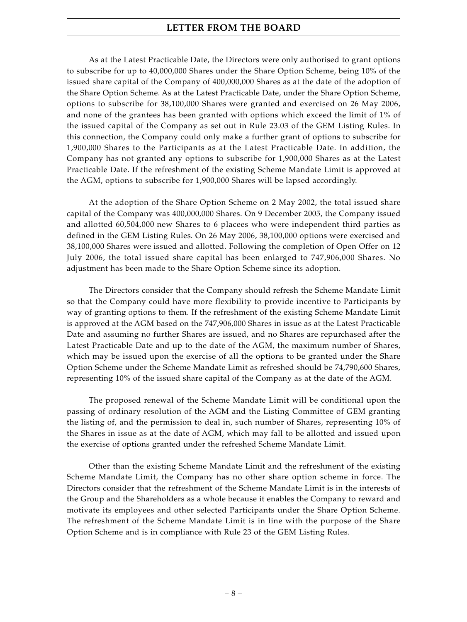As at the Latest Practicable Date, the Directors were only authorised to grant options to subscribe for up to 40,000,000 Shares under the Share Option Scheme, being 10% of the issued share capital of the Company of 400,000,000 Shares as at the date of the adoption of the Share Option Scheme. As at the Latest Practicable Date, under the Share Option Scheme, options to subscribe for 38,100,000 Shares were granted and exercised on 26 May 2006, and none of the grantees has been granted with options which exceed the limit of 1% of the issued capital of the Company as set out in Rule 23.03 of the GEM Listing Rules. In this connection, the Company could only make a further grant of options to subscribe for 1,900,000 Shares to the Participants as at the Latest Practicable Date. In addition, the Company has not granted any options to subscribe for 1,900,000 Shares as at the Latest Practicable Date. If the refreshment of the existing Scheme Mandate Limit is approved at the AGM, options to subscribe for 1,900,000 Shares will be lapsed accordingly.

At the adoption of the Share Option Scheme on 2 May 2002, the total issued share capital of the Company was 400,000,000 Shares. On 9 December 2005, the Company issued and allotted 60,504,000 new Shares to 6 placees who were independent third parties as defined in the GEM Listing Rules. On 26 May 2006, 38,100,000 options were exercised and 38,100,000 Shares were issued and allotted. Following the completion of Open Offer on 12 July 2006, the total issued share capital has been enlarged to 747,906,000 Shares. No adjustment has been made to the Share Option Scheme since its adoption.

The Directors consider that the Company should refresh the Scheme Mandate Limit so that the Company could have more flexibility to provide incentive to Participants by way of granting options to them. If the refreshment of the existing Scheme Mandate Limit is approved at the AGM based on the 747,906,000 Shares in issue as at the Latest Practicable Date and assuming no further Shares are issued, and no Shares are repurchased after the Latest Practicable Date and up to the date of the AGM, the maximum number of Shares, which may be issued upon the exercise of all the options to be granted under the Share Option Scheme under the Scheme Mandate Limit as refreshed should be 74,790,600 Shares, representing 10% of the issued share capital of the Company as at the date of the AGM.

The proposed renewal of the Scheme Mandate Limit will be conditional upon the passing of ordinary resolution of the AGM and the Listing Committee of GEM granting the listing of, and the permission to deal in, such number of Shares, representing 10% of the Shares in issue as at the date of AGM, which may fall to be allotted and issued upon the exercise of options granted under the refreshed Scheme Mandate Limit.

Other than the existing Scheme Mandate Limit and the refreshment of the existing Scheme Mandate Limit, the Company has no other share option scheme in force. The Directors consider that the refreshment of the Scheme Mandate Limit is in the interests of the Group and the Shareholders as a whole because it enables the Company to reward and motivate its employees and other selected Participants under the Share Option Scheme. The refreshment of the Scheme Mandate Limit is in line with the purpose of the Share Option Scheme and is in compliance with Rule 23 of the GEM Listing Rules.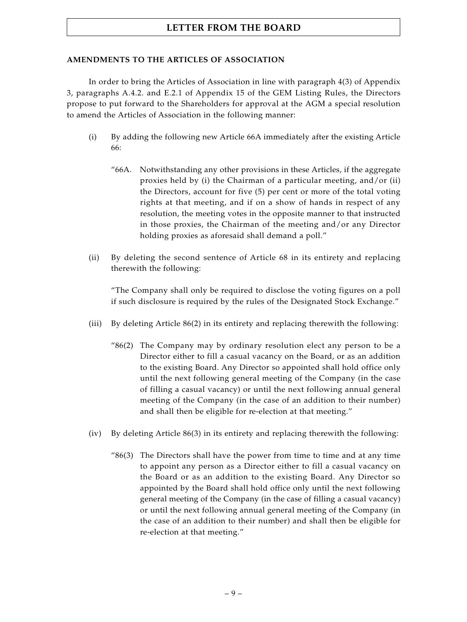#### **AMENDMENTS TO THE ARTICLES OF ASSOCIATION**

In order to bring the Articles of Association in line with paragraph 4(3) of Appendix 3, paragraphs A.4.2. and E.2.1 of Appendix 15 of the GEM Listing Rules, the Directors propose to put forward to the Shareholders for approval at the AGM a special resolution to amend the Articles of Association in the following manner:

- (i) By adding the following new Article 66A immediately after the existing Article 66:
	- "66A. Notwithstanding any other provisions in these Articles, if the aggregate proxies held by (i) the Chairman of a particular meeting, and/or (ii) the Directors, account for five (5) per cent or more of the total voting rights at that meeting, and if on a show of hands in respect of any resolution, the meeting votes in the opposite manner to that instructed in those proxies, the Chairman of the meeting and/or any Director holding proxies as aforesaid shall demand a poll."
- (ii) By deleting the second sentence of Article 68 in its entirety and replacing therewith the following:

"The Company shall only be required to disclose the voting figures on a poll if such disclosure is required by the rules of the Designated Stock Exchange."

- (iii) By deleting Article 86(2) in its entirety and replacing therewith the following:
	- "86(2) The Company may by ordinary resolution elect any person to be a Director either to fill a casual vacancy on the Board, or as an addition to the existing Board. Any Director so appointed shall hold office only until the next following general meeting of the Company (in the case of filling a casual vacancy) or until the next following annual general meeting of the Company (in the case of an addition to their number) and shall then be eligible for re-election at that meeting."
- (iv) By deleting Article 86(3) in its entirety and replacing therewith the following:
	- "86(3) The Directors shall have the power from time to time and at any time to appoint any person as a Director either to fill a casual vacancy on the Board or as an addition to the existing Board. Any Director so appointed by the Board shall hold office only until the next following general meeting of the Company (in the case of filling a casual vacancy) or until the next following annual general meeting of the Company (in the case of an addition to their number) and shall then be eligible for re-election at that meeting."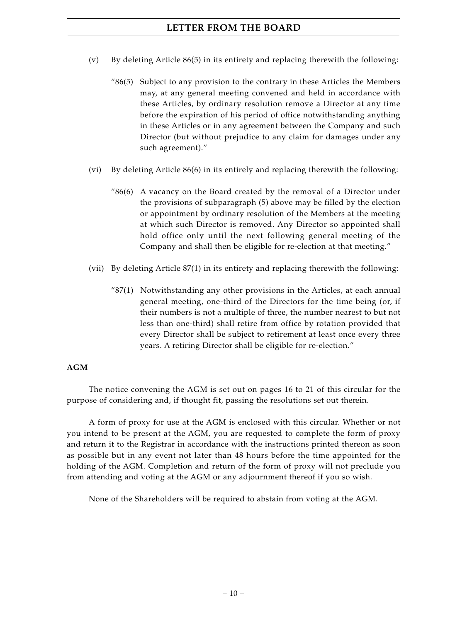- (v) By deleting Article 86(5) in its entirety and replacing therewith the following:
	- $"86(5)$  Subject to any provision to the contrary in these Articles the Members may, at any general meeting convened and held in accordance with these Articles, by ordinary resolution remove a Director at any time before the expiration of his period of office notwithstanding anything in these Articles or in any agreement between the Company and such Director (but without prejudice to any claim for damages under any such agreement)."
- (vi) By deleting Article 86(6) in its entirely and replacing therewith the following:
	- "86(6) A vacancy on the Board created by the removal of a Director under the provisions of subparagraph (5) above may be filled by the election or appointment by ordinary resolution of the Members at the meeting at which such Director is removed. Any Director so appointed shall hold office only until the next following general meeting of the Company and shall then be eligible for re-election at that meeting."
- (vii) By deleting Article 87(1) in its entirety and replacing therewith the following:
	- "87(1) Notwithstanding any other provisions in the Articles, at each annual general meeting, one-third of the Directors for the time being (or, if their numbers is not a multiple of three, the number nearest to but not less than one-third) shall retire from office by rotation provided that every Director shall be subject to retirement at least once every three years. A retiring Director shall be eligible for re-election."

### **AGM**

The notice convening the AGM is set out on pages 16 to 21 of this circular for the purpose of considering and, if thought fit, passing the resolutions set out therein.

A form of proxy for use at the AGM is enclosed with this circular. Whether or not you intend to be present at the AGM, you are requested to complete the form of proxy and return it to the Registrar in accordance with the instructions printed thereon as soon as possible but in any event not later than 48 hours before the time appointed for the holding of the AGM. Completion and return of the form of proxy will not preclude you from attending and voting at the AGM or any adjournment thereof if you so wish.

None of the Shareholders will be required to abstain from voting at the AGM.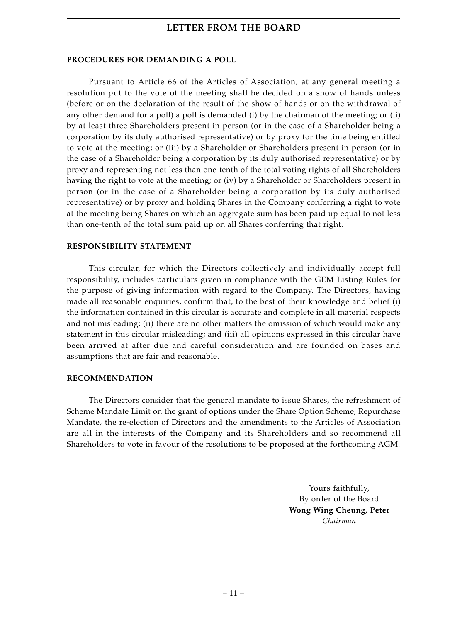#### **PROCEDURES FOR DEMANDING A POLL**

Pursuant to Article 66 of the Articles of Association, at any general meeting a resolution put to the vote of the meeting shall be decided on a show of hands unless (before or on the declaration of the result of the show of hands or on the withdrawal of any other demand for a poll) a poll is demanded (i) by the chairman of the meeting; or (ii) by at least three Shareholders present in person (or in the case of a Shareholder being a corporation by its duly authorised representative) or by proxy for the time being entitled to vote at the meeting; or (iii) by a Shareholder or Shareholders present in person (or in the case of a Shareholder being a corporation by its duly authorised representative) or by proxy and representing not less than one-tenth of the total voting rights of all Shareholders having the right to vote at the meeting; or (iv) by a Shareholder or Shareholders present in person (or in the case of a Shareholder being a corporation by its duly authorised representative) or by proxy and holding Shares in the Company conferring a right to vote at the meeting being Shares on which an aggregate sum has been paid up equal to not less than one-tenth of the total sum paid up on all Shares conferring that right.

#### **RESPONSIBILITY STATEMENT**

This circular, for which the Directors collectively and individually accept full responsibility, includes particulars given in compliance with the GEM Listing Rules for the purpose of giving information with regard to the Company. The Directors, having made all reasonable enquiries, confirm that, to the best of their knowledge and belief (i) the information contained in this circular is accurate and complete in all material respects and not misleading; (ii) there are no other matters the omission of which would make any statement in this circular misleading; and (iii) all opinions expressed in this circular have been arrived at after due and careful consideration and are founded on bases and assumptions that are fair and reasonable.

#### **RECOMMENDATION**

The Directors consider that the general mandate to issue Shares, the refreshment of Scheme Mandate Limit on the grant of options under the Share Option Scheme, Repurchase Mandate, the re-election of Directors and the amendments to the Articles of Association are all in the interests of the Company and its Shareholders and so recommend all Shareholders to vote in favour of the resolutions to be proposed at the forthcoming AGM.

> Yours faithfully, By order of the Board **Wong Wing Cheung, Peter** *Chairman*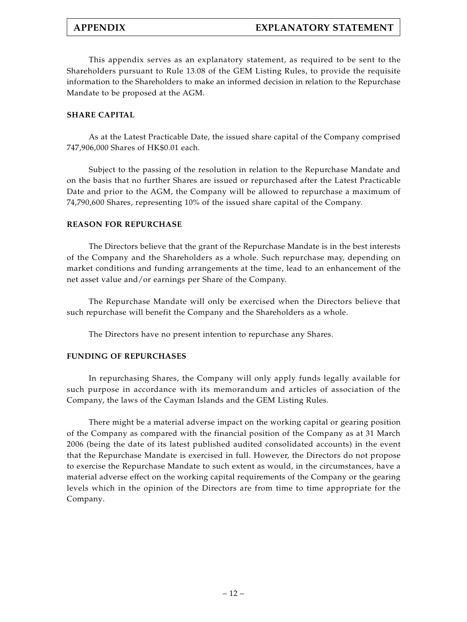# **APPENDIX EXPLANATORY STATEMENT**

This appendix serves as an explanatory statement, as required to be sent to the Shareholders pursuant to Rule 13.08 of the GEM Listing Rules, to provide the requisite information to the Shareholders to make an informed decision in relation to the Repurchase Mandate to be proposed at the AGM.

#### **SHARE CAPITAL**

As at the Latest Practicable Date, the issued share capital of the Company comprised 747,906,000 Shares of HK\$0.01 each.

Subject to the passing of the resolution in relation to the Repurchase Mandate and on the basis that no further Shares are issued or repurchased after the Latest Practicable Date and prior to the AGM, the Company will be allowed to repurchase a maximum of 74,790,600 Shares, representing 10% of the issued share capital of the Company.

#### **REASON FOR REPURCHASE**

The Directors believe that the grant of the Repurchase Mandate is in the best interests of the Company and the Shareholders as a whole. Such repurchase may, depending on market conditions and funding arrangements at the time, lead to an enhancement of the net asset value and/or earnings per Share of the Company.

The Repurchase Mandate will only be exercised when the Directors believe that such repurchase will benefit the Company and the Shareholders as a whole.

The Directors have no present intention to repurchase any Shares.

#### **FUNDING OF REPURCHASES**

In repurchasing Shares, the Company will only apply funds legally available for such purpose in accordance with its memorandum and articles of association of the Company, the laws of the Cayman Islands and the GEM Listing Rules.

There might be a material adverse impact on the working capital or gearing position of the Company as compared with the financial position of the Company as at 31 March 2006 (being the date of its latest published audited consolidated accounts) in the event that the Repurchase Mandate is exercised in full. However, the Directors do not propose to exercise the Repurchase Mandate to such extent as would, in the circumstances, have a material adverse effect on the working capital requirements of the Company or the gearing levels which in the opinion of the Directors are from time to time appropriate for the Company.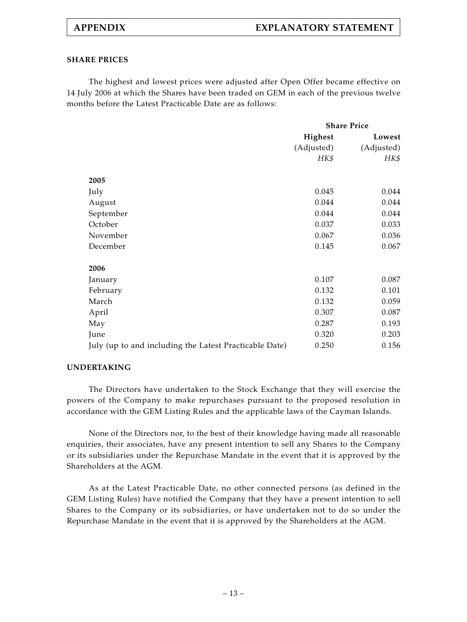#### **SHARE PRICES**

The highest and lowest prices were adjusted after Open Offer became effective on 14 July 2006 at which the Shares have been traded on GEM in each of the previous twelve months before the Latest Practicable Date are as follows:

|                                                        |                | <b>Share Price</b> |  |
|--------------------------------------------------------|----------------|--------------------|--|
|                                                        | <b>Highest</b> | Lowest             |  |
|                                                        | (Adjusted)     | (Adjusted)         |  |
|                                                        | HK\$           | HK\$               |  |
|                                                        |                |                    |  |
| 2005                                                   |                |                    |  |
| July                                                   | 0.045          | 0.044              |  |
| August                                                 | 0.044          | 0.044              |  |
| September                                              | 0.044          | 0.044              |  |
| October                                                | 0.037          | 0.033              |  |
| November                                               | 0.067          | 0.036              |  |
| December                                               | 0.145          | 0.067              |  |
| 2006                                                   |                |                    |  |
| January                                                | 0.107          | 0.087              |  |
| February                                               | 0.132          | 0.101              |  |
| March                                                  | 0.132          | 0.059              |  |
| April                                                  | 0.307          | 0.087              |  |
| May                                                    | 0.287          | 0.193              |  |
| June                                                   | 0.320          | 0.203              |  |
| July (up to and including the Latest Practicable Date) | 0.250          | 0.156              |  |

#### **UNDERTAKING**

The Directors have undertaken to the Stock Exchange that they will exercise the powers of the Company to make repurchases pursuant to the proposed resolution in accordance with the GEM Listing Rules and the applicable laws of the Cayman Islands.

None of the Directors nor, to the best of their knowledge having made all reasonable enquiries, their associates, have any present intention to sell any Shares to the Company or its subsidiaries under the Repurchase Mandate in the event that it is approved by the Shareholders at the AGM.

As at the Latest Practicable Date, no other connected persons (as defined in the GEM Listing Rules) have notified the Company that they have a present intention to sell Shares to the Company or its subsidiaries, or have undertaken not to do so under the Repurchase Mandate in the event that it is approved by the Shareholders at the AGM.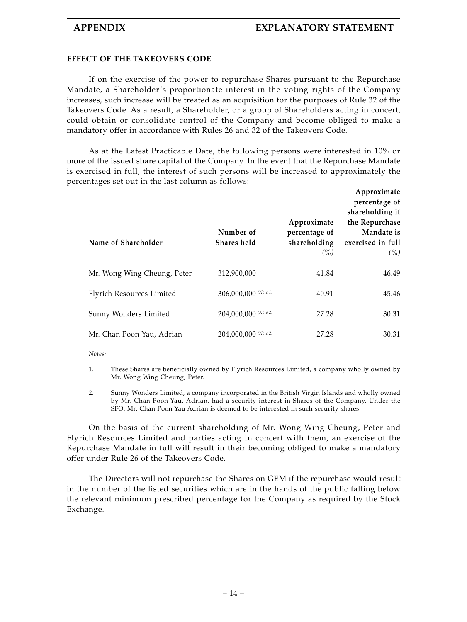#### **EFFECT OF THE TAKEOVERS CODE**

If on the exercise of the power to repurchase Shares pursuant to the Repurchase Mandate, a Shareholder's proportionate interest in the voting rights of the Company increases, such increase will be treated as an acquisition for the purposes of Rule 32 of the Takeovers Code. As a result, a Shareholder, or a group of Shareholders acting in concert, could obtain or consolidate control of the Company and become obliged to make a mandatory offer in accordance with Rules 26 and 32 of the Takeovers Code.

As at the Latest Practicable Date, the following persons were interested in 10% or more of the issued share capital of the Company. In the event that the Repurchase Mandate is exercised in full, the interest of such persons will be increased to approximately the percentages set out in the last column as follows:

| Name of Shareholder              | Number of<br>Shares held | Approximate<br>percentage of<br>shareholding<br>$($ %) | Approximate<br>percentage of<br>shareholding if<br>the Repurchase<br>Mandate is<br>exercised in full<br>(% ) |
|----------------------------------|--------------------------|--------------------------------------------------------|--------------------------------------------------------------------------------------------------------------|
| Mr. Wong Wing Cheung, Peter      | 312,900,000              | 41.84                                                  | 46.49                                                                                                        |
| <b>Flyrich Resources Limited</b> | 306,000,000 (Note 1)     | 40.91                                                  | 45.46                                                                                                        |
| Sunny Wonders Limited            | 204,000,000 (Note 2)     | 27.28                                                  | 30.31                                                                                                        |
| Mr. Chan Poon Yau, Adrian        | 204,000,000 (Note 2)     | 27.28                                                  | 30.31                                                                                                        |

*Notes:*

1. These Shares are beneficially owned by Flyrich Resources Limited, a company wholly owned by Mr. Wong Wing Cheung, Peter.

2. Sunny Wonders Limited, a company incorporated in the British Virgin Islands and wholly owned by Mr. Chan Poon Yau, Adrian, had a security interest in Shares of the Company. Under the SFO, Mr. Chan Poon Yau Adrian is deemed to be interested in such security shares.

On the basis of the current shareholding of Mr. Wong Wing Cheung, Peter and Flyrich Resources Limited and parties acting in concert with them, an exercise of the Repurchase Mandate in full will result in their becoming obliged to make a mandatory offer under Rule 26 of the Takeovers Code.

The Directors will not repurchase the Shares on GEM if the repurchase would result in the number of the listed securities which are in the hands of the public falling below the relevant minimum prescribed percentage for the Company as required by the Stock Exchange.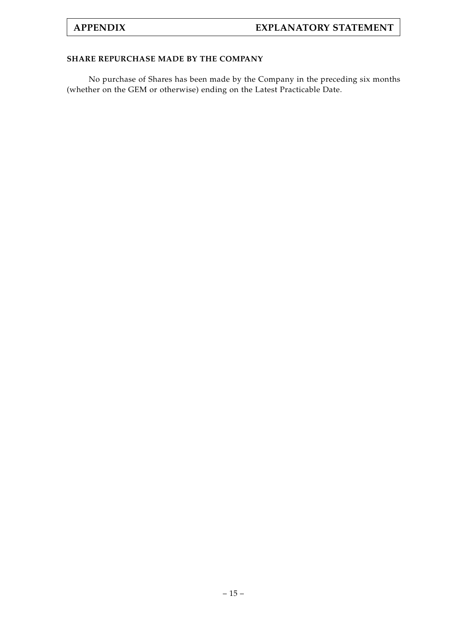#### **SHARE REPURCHASE MADE BY THE COMPANY**

No purchase of Shares has been made by the Company in the preceding six months (whether on the GEM or otherwise) ending on the Latest Practicable Date.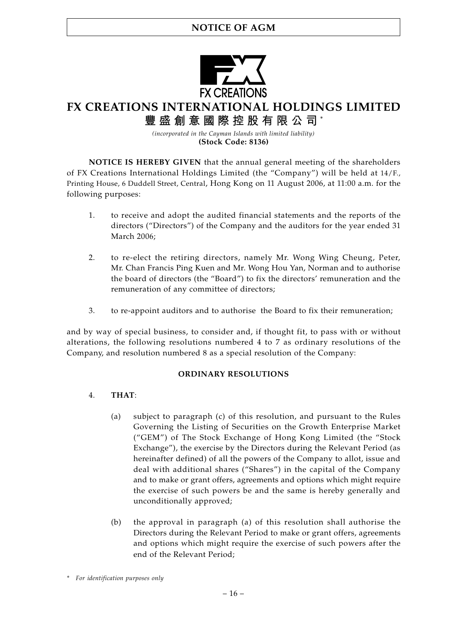# **NOTICE OF AGM**



**FX CREATIONS INTERNATIONAL HOLDINGS LIMITED**

**豐盛創意國際控股有限公司** \*

*(incorporated in the Cayman Islands with limited liability)* **(Stock Code: 8136)**

**NOTICE IS HEREBY GIVEN** that the annual general meeting of the shareholders of FX Creations International Holdings Limited (the "Company") will be held at 14/F., Printing House, 6 Duddell Street, Central, Hong Kong on 11 August 2006, at 11:00 a.m. for the following purposes:

- 1. to receive and adopt the audited financial statements and the reports of the directors ("Directors") of the Company and the auditors for the year ended 31 March 2006;
- 2. to re-elect the retiring directors, namely Mr. Wong Wing Cheung, Peter, Mr. Chan Francis Ping Kuen and Mr. Wong Hou Yan, Norman and to authorise the board of directors (the "Board") to fix the directors' remuneration and the remuneration of any committee of directors;
- 3. to re-appoint auditors and to authorise the Board to fix their remuneration;

and by way of special business, to consider and, if thought fit, to pass with or without alterations, the following resolutions numbered 4 to 7 as ordinary resolutions of the Company, and resolution numbered 8 as a special resolution of the Company:

#### **ORDINARY RESOLUTIONS**

#### 4. **THAT**:

- (a) subject to paragraph (c) of this resolution, and pursuant to the Rules Governing the Listing of Securities on the Growth Enterprise Market ("GEM") of The Stock Exchange of Hong Kong Limited (the "Stock Exchange"), the exercise by the Directors during the Relevant Period (as hereinafter defined) of all the powers of the Company to allot, issue and deal with additional shares ("Shares") in the capital of the Company and to make or grant offers, agreements and options which might require the exercise of such powers be and the same is hereby generally and unconditionally approved;
- (b) the approval in paragraph (a) of this resolution shall authorise the Directors during the Relevant Period to make or grant offers, agreements and options which might require the exercise of such powers after the end of the Relevant Period;

*<sup>\*</sup> For identification purposes only*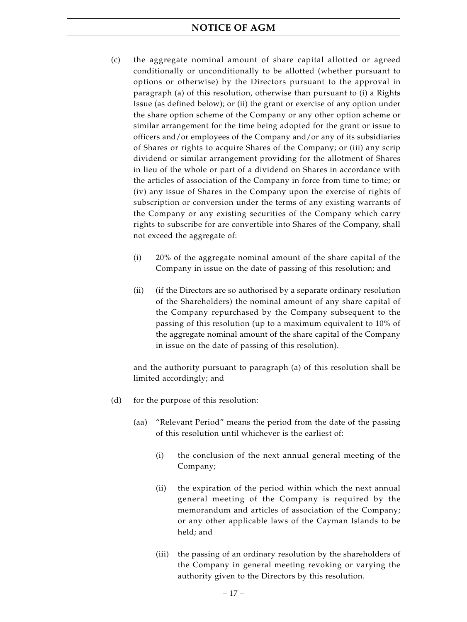- (c) the aggregate nominal amount of share capital allotted or agreed conditionally or unconditionally to be allotted (whether pursuant to options or otherwise) by the Directors pursuant to the approval in paragraph (a) of this resolution, otherwise than pursuant to (i) a Rights Issue (as defined below); or (ii) the grant or exercise of any option under the share option scheme of the Company or any other option scheme or similar arrangement for the time being adopted for the grant or issue to officers and/or employees of the Company and/or any of its subsidiaries of Shares or rights to acquire Shares of the Company; or (iii) any scrip dividend or similar arrangement providing for the allotment of Shares in lieu of the whole or part of a dividend on Shares in accordance with the articles of association of the Company in force from time to time; or (iv) any issue of Shares in the Company upon the exercise of rights of subscription or conversion under the terms of any existing warrants of the Company or any existing securities of the Company which carry rights to subscribe for are convertible into Shares of the Company, shall not exceed the aggregate of:
	- (i) 20% of the aggregate nominal amount of the share capital of the Company in issue on the date of passing of this resolution; and
	- (ii) (if the Directors are so authorised by a separate ordinary resolution of the Shareholders) the nominal amount of any share capital of the Company repurchased by the Company subsequent to the passing of this resolution (up to a maximum equivalent to 10% of the aggregate nominal amount of the share capital of the Company in issue on the date of passing of this resolution).

and the authority pursuant to paragraph (a) of this resolution shall be limited accordingly; and

- (d) for the purpose of this resolution:
	- (aa) "Relevant Period" means the period from the date of the passing of this resolution until whichever is the earliest of:
		- (i) the conclusion of the next annual general meeting of the Company;
		- (ii) the expiration of the period within which the next annual general meeting of the Company is required by the memorandum and articles of association of the Company; or any other applicable laws of the Cayman Islands to be held; and
		- (iii) the passing of an ordinary resolution by the shareholders of the Company in general meeting revoking or varying the authority given to the Directors by this resolution.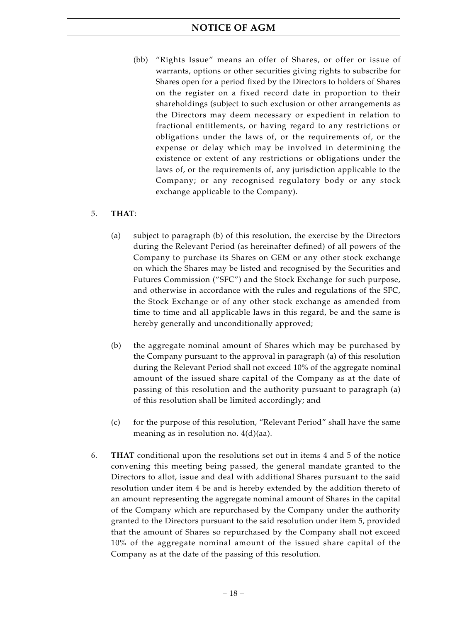# **NOTICE OF AGM**

(bb) "Rights Issue" means an offer of Shares, or offer or issue of warrants, options or other securities giving rights to subscribe for Shares open for a period fixed by the Directors to holders of Shares on the register on a fixed record date in proportion to their shareholdings (subject to such exclusion or other arrangements as the Directors may deem necessary or expedient in relation to fractional entitlements, or having regard to any restrictions or obligations under the laws of, or the requirements of, or the expense or delay which may be involved in determining the existence or extent of any restrictions or obligations under the laws of, or the requirements of, any jurisdiction applicable to the Company; or any recognised regulatory body or any stock exchange applicable to the Company).

#### 5. **THAT**:

- (a) subject to paragraph (b) of this resolution, the exercise by the Directors during the Relevant Period (as hereinafter defined) of all powers of the Company to purchase its Shares on GEM or any other stock exchange on which the Shares may be listed and recognised by the Securities and Futures Commission ("SFC") and the Stock Exchange for such purpose, and otherwise in accordance with the rules and regulations of the SFC, the Stock Exchange or of any other stock exchange as amended from time to time and all applicable laws in this regard, be and the same is hereby generally and unconditionally approved;
- (b) the aggregate nominal amount of Shares which may be purchased by the Company pursuant to the approval in paragraph (a) of this resolution during the Relevant Period shall not exceed 10% of the aggregate nominal amount of the issued share capital of the Company as at the date of passing of this resolution and the authority pursuant to paragraph (a) of this resolution shall be limited accordingly; and
- (c) for the purpose of this resolution, "Relevant Period" shall have the same meaning as in resolution no. 4(d)(aa).
- 6. **THAT** conditional upon the resolutions set out in items 4 and 5 of the notice convening this meeting being passed, the general mandate granted to the Directors to allot, issue and deal with additional Shares pursuant to the said resolution under item 4 be and is hereby extended by the addition thereto of an amount representing the aggregate nominal amount of Shares in the capital of the Company which are repurchased by the Company under the authority granted to the Directors pursuant to the said resolution under item 5, provided that the amount of Shares so repurchased by the Company shall not exceed 10% of the aggregate nominal amount of the issued share capital of the Company as at the date of the passing of this resolution.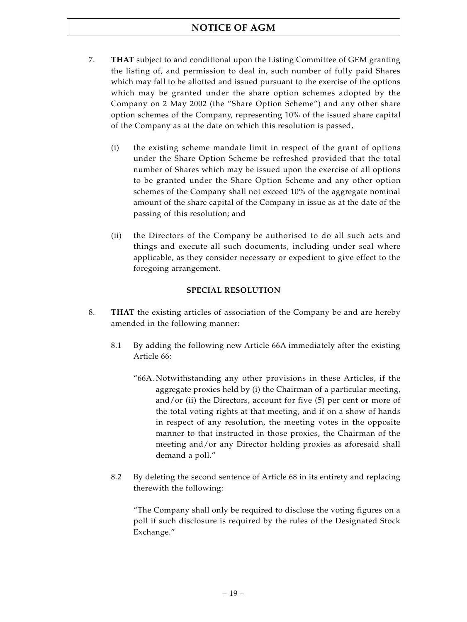# **NOTICE OF AGM**

- 7. **THAT** subject to and conditional upon the Listing Committee of GEM granting the listing of, and permission to deal in, such number of fully paid Shares which may fall to be allotted and issued pursuant to the exercise of the options which may be granted under the share option schemes adopted by the Company on 2 May 2002 (the "Share Option Scheme") and any other share option schemes of the Company, representing 10% of the issued share capital of the Company as at the date on which this resolution is passed,
	- (i) the existing scheme mandate limit in respect of the grant of options under the Share Option Scheme be refreshed provided that the total number of Shares which may be issued upon the exercise of all options to be granted under the Share Option Scheme and any other option schemes of the Company shall not exceed 10% of the aggregate nominal amount of the share capital of the Company in issue as at the date of the passing of this resolution; and
	- (ii) the Directors of the Company be authorised to do all such acts and things and execute all such documents, including under seal where applicable, as they consider necessary or expedient to give effect to the foregoing arrangement.

#### **SPECIAL RESOLUTION**

- 8. **THAT** the existing articles of association of the Company be and are hereby amended in the following manner:
	- 8.1 By adding the following new Article 66A immediately after the existing Article 66:
		- "66A. Notwithstanding any other provisions in these Articles, if the aggregate proxies held by (i) the Chairman of a particular meeting, and/or (ii) the Directors, account for five  $(5)$  per cent or more of the total voting rights at that meeting, and if on a show of hands in respect of any resolution, the meeting votes in the opposite manner to that instructed in those proxies, the Chairman of the meeting and/or any Director holding proxies as aforesaid shall demand a poll."
	- 8.2 By deleting the second sentence of Article 68 in its entirety and replacing therewith the following:

"The Company shall only be required to disclose the voting figures on a poll if such disclosure is required by the rules of the Designated Stock Exchange."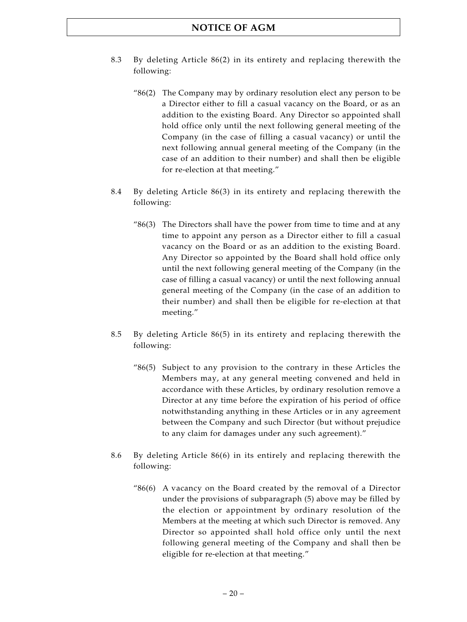- 8.3 By deleting Article 86(2) in its entirety and replacing therewith the following:
	- " $86(2)$  The Company may by ordinary resolution elect any person to be a Director either to fill a casual vacancy on the Board, or as an addition to the existing Board. Any Director so appointed shall hold office only until the next following general meeting of the Company (in the case of filling a casual vacancy) or until the next following annual general meeting of the Company (in the case of an addition to their number) and shall then be eligible for re-election at that meeting."
- 8.4 By deleting Article 86(3) in its entirety and replacing therewith the following:
	- " $86(3)$  The Directors shall have the power from time to time and at any time to appoint any person as a Director either to fill a casual vacancy on the Board or as an addition to the existing Board. Any Director so appointed by the Board shall hold office only until the next following general meeting of the Company (in the case of filling a casual vacancy) or until the next following annual general meeting of the Company (in the case of an addition to their number) and shall then be eligible for re-election at that meeting."
- 8.5 By deleting Article 86(5) in its entirety and replacing therewith the following:
	- "86(5) Subject to any provision to the contrary in these Articles the Members may, at any general meeting convened and held in accordance with these Articles, by ordinary resolution remove a Director at any time before the expiration of his period of office notwithstanding anything in these Articles or in any agreement between the Company and such Director (but without prejudice to any claim for damages under any such agreement)."
- 8.6 By deleting Article 86(6) in its entirely and replacing therewith the following:
	- $"86(6)$  A vacancy on the Board created by the removal of a Director under the provisions of subparagraph (5) above may be filled by the election or appointment by ordinary resolution of the Members at the meeting at which such Director is removed. Any Director so appointed shall hold office only until the next following general meeting of the Company and shall then be eligible for re-election at that meeting."